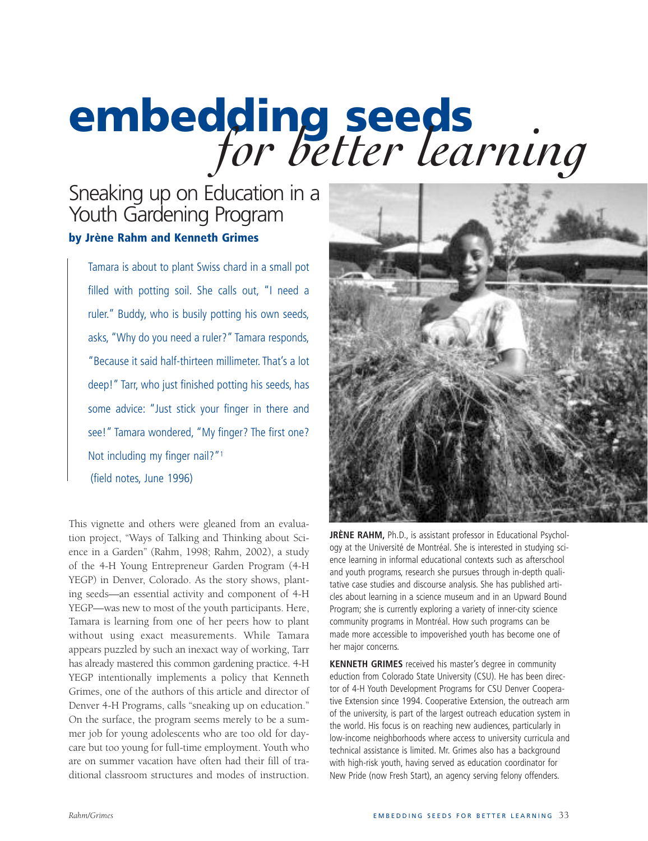# **embedding seeds** *for better learning*

# Sneaking up on Education in a Youth Gardening Program **by Jrène Rahm and Kenneth Grimes**

Tamara is about to plant Swiss chard in a small pot filled with potting soil. She calls out, "I need a ruler." Buddy, who is busily potting his own seeds, asks, "Why do you need a ruler?" Tamara responds, "Because it said half-thirteen millimeter. That's a lot deep!" Tarr, who just finished potting his seeds, has some advice: "Just stick your finger in there and see!" Tamara wondered, "My finger? The first one? Not including my finger nail?"1 (field notes, June 1996)

This vignette and others were gleaned from an evaluation project, "Ways of Talking and Thinking about Science in a Garden" (Rahm, 1998; Rahm, 2002), a study of the 4-H Young Entrepreneur Garden Program (4-H YEGP) in Denver, Colorado. As the story shows, planting seeds—an essential activity and component of 4-H YEGP—was new to most of the youth participants. Here, Tamara is learning from one of her peers how to plant without using exact measurements. While Tamara appears puzzled by such an inexact way of working, Tarr has already mastered this common gardening practice. 4-H YEGP intentionally implements a policy that Kenneth Grimes, one of the authors of this article and director of Denver 4-H Programs, calls "sneaking up on education." On the surface, the program seems merely to be a summer job for young adolescents who are too old for daycare but too young for full-time employment. Youth who are on summer vacation have often had their fill of traditional classroom structures and modes of instruction.



**JRÈNE RAHM,** Ph.D., is assistant professor in Educational Psychology at the Université de Montréal. She is interested in studying science learning in informal educational contexts such as afterschool and youth programs, research she pursues through in-depth qualitative case studies and discourse analysis. She has published articles about learning in a science museum and in an Upward Bound Program; she is currently exploring a variety of inner-city science community programs in Montréal. How such programs can be made more accessible to impoverished youth has become one of her major concerns.

**KENNETH GRIMES** received his master's degree in community eduction from Colorado State University (CSU). He has been director of 4-H Youth Development Programs for CSU Denver Cooperative Extension since 1994. Cooperative Extension, the outreach arm of the university, is part of the largest outreach education system in the world. His focus is on reaching new audiences, particularly in low-income neighborhoods where access to university curricula and technical assistance is limited. Mr. Grimes also has a background with high-risk youth, having served as education coordinator for New Pride (now Fresh Start), an agency serving felony offenders.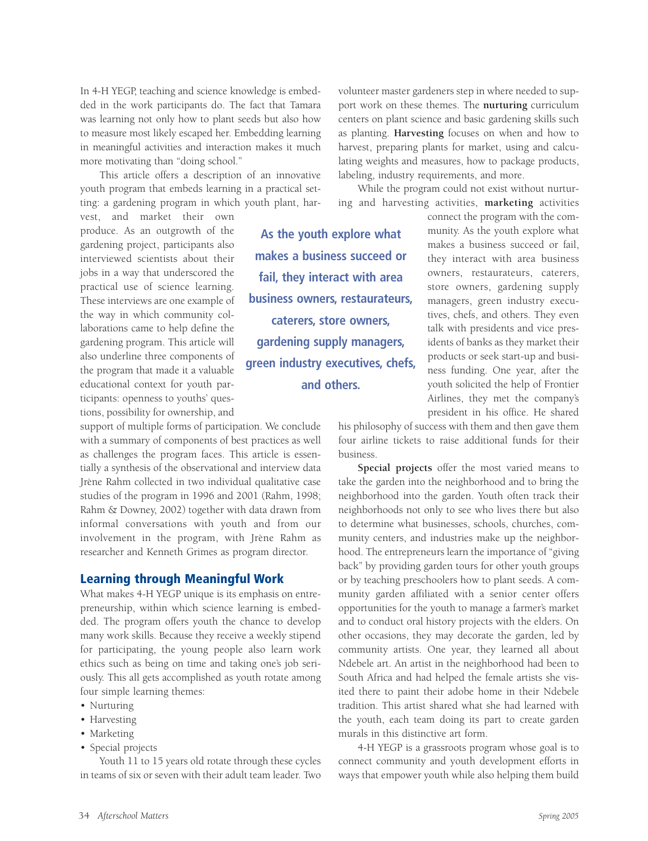In 4-H YEGP, teaching and science knowledge is embedded in the work participants do. The fact that Tamara was learning not only how to plant seeds but also how to measure most likely escaped her. Embedding learning in meaningful activities and interaction makes it much more motivating than "doing school."

This article offers a description of an innovative youth program that embeds learning in a practical setting: a gardening program in which youth plant, har-

vest, and market their own produce. As an outgrowth of the gardening project, participants also interviewed scientists about their jobs in a way that underscored the practical use of science learning. These interviews are one example of the way in which community collaborations came to help define the gardening program. This article will also underline three components of the program that made it a valuable educational context for youth participants: openness to youths' questions, possibility for ownership, and

support of multiple forms of participation. We conclude with a summary of components of best practices as well as challenges the program faces. This article is essentially a synthesis of the observational and interview data Jrène Rahm collected in two individual qualitative case studies of the program in 1996 and 2001 (Rahm, 1998; Rahm & Downey, 2002) together with data drawn from informal conversations with youth and from our involvement in the program, with Jrène Rahm as researcher and Kenneth Grimes as program director.

#### **Learning through Meaningful Work**

What makes 4-H YEGP unique is its emphasis on entrepreneurship, within which science learning is embedded. The program offers youth the chance to develop many work skills. Because they receive a weekly stipend for participating, the young people also learn work ethics such as being on time and taking one's job seriously. This all gets accomplished as youth rotate among four simple learning themes:

- Nurturing
- Harvesting
- Marketing
- Special projects

Youth 11 to 15 years old rotate through these cycles in teams of six or seven with their adult team leader. Two

volunteer master gardeners step in where needed to support work on these themes. The **nurturing** curriculum centers on plant science and basic gardening skills such as planting. **Harvesting** focuses on when and how to harvest, preparing plants for market, using and calculating weights and measures, how to package products, labeling, industry requirements, and more.

While the program could not exist without nurturing and harvesting activities, **marketing** activities

**As the youth explore what makes a business succeed or fail, they interact with area business owners, restaurateurs, caterers, store owners, gardening supply managers, green industry executives, chefs, and others.**

connect the program with the community. As the youth explore what makes a business succeed or fail, they interact with area business owners, restaurateurs, caterers, store owners, gardening supply managers, green industry executives, chefs, and others. They even talk with presidents and vice presidents of banks as they market their products or seek start-up and business funding. One year, after the youth solicited the help of Frontier Airlines, they met the company's president in his office. He shared

his philosophy of success with them and then gave them four airline tickets to raise additional funds for their business.

**Special projects** offer the most varied means to take the garden into the neighborhood and to bring the neighborhood into the garden. Youth often track their neighborhoods not only to see who lives there but also to determine what businesses, schools, churches, community centers, and industries make up the neighborhood. The entrepreneurs learn the importance of "giving back" by providing garden tours for other youth groups or by teaching preschoolers how to plant seeds. A community garden affiliated with a senior center offers opportunities for the youth to manage a farmer's market and to conduct oral history projects with the elders. On other occasions, they may decorate the garden, led by community artists. One year, they learned all about Ndebele art. An artist in the neighborhood had been to South Africa and had helped the female artists she visited there to paint their adobe home in their Ndebele tradition. This artist shared what she had learned with the youth, each team doing its part to create garden murals in this distinctive art form.

4-H YEGP is a grassroots program whose goal is to connect community and youth development efforts in ways that empower youth while also helping them build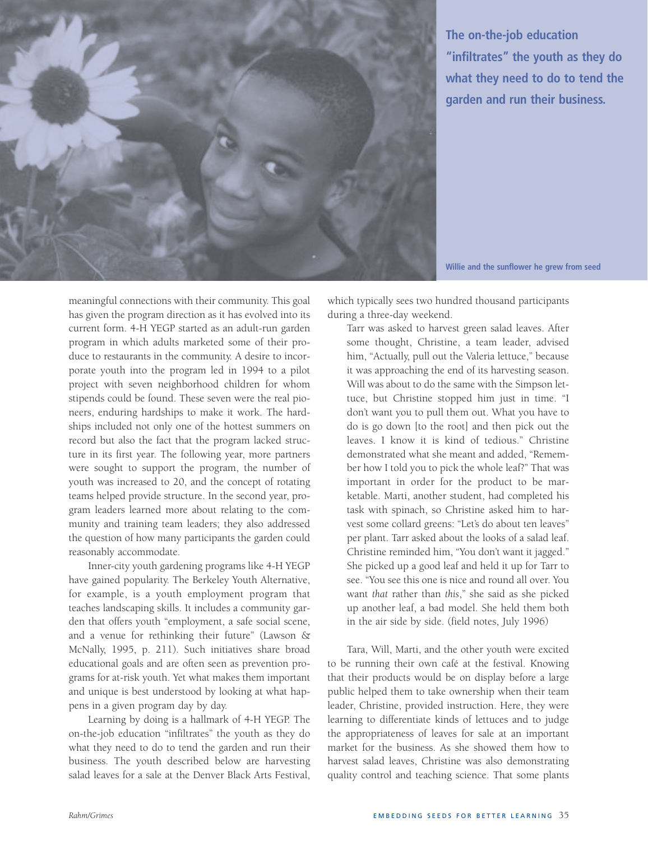

**The on-the-job education "infiltrates" the youth as they do what they need to do to tend the garden and run their business.**

**Willie and the sunflower he grew from seed**

meaningful connections with their community. This goal has given the program direction as it has evolved into its current form. 4-H YEGP started as an adult-run garden program in which adults marketed some of their produce to restaurants in the community. A desire to incorporate youth into the program led in 1994 to a pilot project with seven neighborhood children for whom stipends could be found. These seven were the real pioneers, enduring hardships to make it work. The hardships included not only one of the hottest summers on record but also the fact that the program lacked structure in its first year. The following year, more partners were sought to support the program, the number of youth was increased to 20, and the concept of rotating teams helped provide structure. In the second year, program leaders learned more about relating to the community and training team leaders; they also addressed the question of how many participants the garden could reasonably accommodate.

Inner-city youth gardening programs like 4-H YEGP have gained popularity. The Berkeley Youth Alternative, for example, is a youth employment program that teaches landscaping skills. It includes a community garden that offers youth "employment, a safe social scene, and a venue for rethinking their future" (Lawson & McNally, 1995, p. 211). Such initiatives share broad educational goals and are often seen as prevention programs for at-risk youth. Yet what makes them important and unique is best understood by looking at what happens in a given program day by day.

Learning by doing is a hallmark of 4-H YEGP. The on-the-job education "infiltrates" the youth as they do what they need to do to tend the garden and run their business. The youth described below are harvesting salad leaves for a sale at the Denver Black Arts Festival,

which typically sees two hundred thousand participants during a three-day weekend.

Tarr was asked to harvest green salad leaves. After some thought, Christine, a team leader, advised him, "Actually, pull out the Valeria lettuce," because it was approaching the end of its harvesting season. Will was about to do the same with the Simpson lettuce, but Christine stopped him just in time. "I don't want you to pull them out. What you have to do is go down [to the root] and then pick out the leaves. I know it is kind of tedious." Christine demonstrated what she meant and added, "Remember how I told you to pick the whole leaf?" That was important in order for the product to be marketable. Marti, another student, had completed his task with spinach, so Christine asked him to harvest some collard greens: "Let's do about ten leaves" per plant. Tarr asked about the looks of a salad leaf. Christine reminded him, "You don't want it jagged." She picked up a good leaf and held it up for Tarr to see. "You see this one is nice and round all over. You want *that* rather than *this*," she said as she picked up another leaf, a bad model. She held them both in the air side by side. (field notes, July 1996)

Tara, Will, Marti, and the other youth were excited to be running their own café at the festival. Knowing that their products would be on display before a large public helped them to take ownership when their team leader, Christine, provided instruction. Here, they were learning to differentiate kinds of lettuces and to judge the appropriateness of leaves for sale at an important market for the business. As she showed them how to harvest salad leaves, Christine was also demonstrating quality control and teaching science. That some plants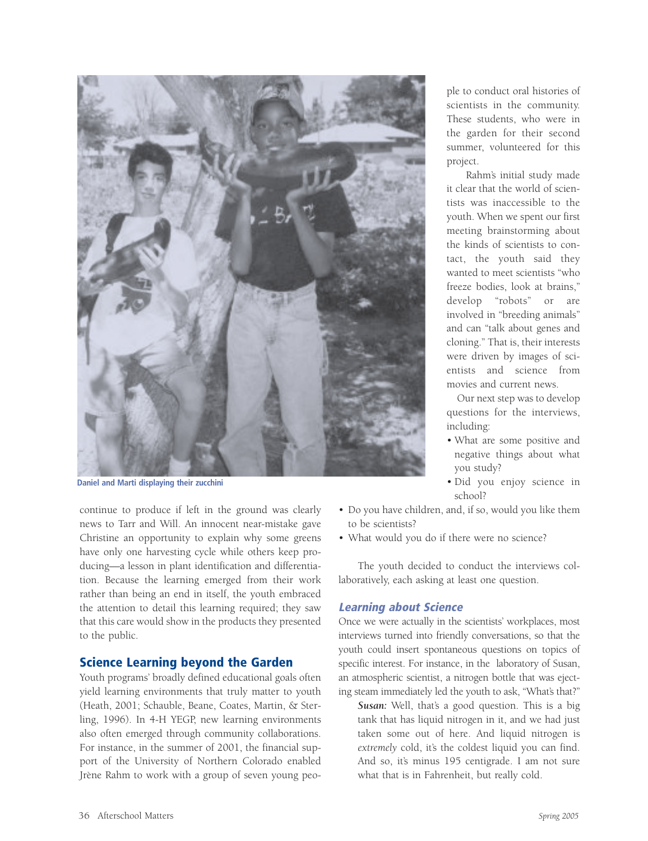

**Daniel and Marti displaying their zucchini**

continue to produce if left in the ground was clearly news to Tarr and Will. An innocent near-mistake gave Christine an opportunity to explain why some greens have only one harvesting cycle while others keep producing—a lesson in plant identification and differentiation. Because the learning emerged from their work rather than being an end in itself, the youth embraced the attention to detail this learning required; they saw that this care would show in the products they presented to the public.

#### **Science Learning beyond the Garden**

Youth programs' broadly defined educational goals often yield learning environments that truly matter to youth (Heath, 2001; Schauble, Beane, Coates, Martin, & Sterling, 1996). In 4-H YEGP, new learning environments also often emerged through community collaborations. For instance, in the summer of 2001, the financial support of the University of Northern Colorado enabled Jrène Rahm to work with a group of seven young people to conduct oral histories of scientists in the community. These students, who were in the garden for their second summer, volunteered for this project.

Rahm's initial study made it clear that the world of scientists was inaccessible to the youth. When we spent our first meeting brainstorming about the kinds of scientists to contact, the youth said they wanted to meet scientists "who freeze bodies, look at brains," develop "robots" or are involved in "breeding animals" and can "talk about genes and cloning." That is, their interests were driven by images of scientists and science from movies and current news.

Our next step was to develop questions for the interviews, including:

- What are some positive and negative things about what you study?
- Did you enjoy science in school?
- Do you have children, and, if so, would you like them to be scientists?
- What would you do if there were no science?

The youth decided to conduct the interviews collaboratively, each asking at least one question.

#### **Learning about Science**

Once we were actually in the scientists' workplaces, most interviews turned into friendly conversations, so that the youth could insert spontaneous questions on topics of specific interest. For instance, in the laboratory of Susan, an atmospheric scientist, a nitrogen bottle that was ejecting steam immediately led the youth to ask, "What's that?"

*Susan:* Well, that's a good question. This is a big tank that has liquid nitrogen in it, and we had just taken some out of here. And liquid nitrogen is *extremely* cold, it's the coldest liquid you can find. And so, it's minus 195 centigrade. I am not sure what that is in Fahrenheit, but really cold.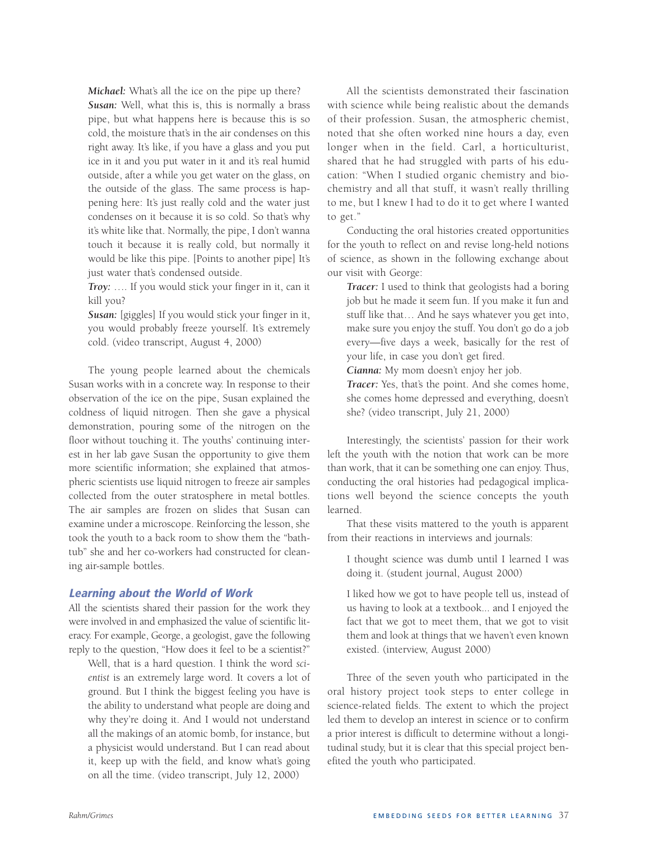*Michael:* What's all the ice on the pipe up there? *Susan:* Well, what this is, this is normally a brass pipe, but what happens here is because this is so cold, the moisture that's in the air condenses on this right away. It's like, if you have a glass and you put ice in it and you put water in it and it's real humid outside, after a while you get water on the glass, on the outside of the glass. The same process is happening here: It's just really cold and the water just condenses on it because it is so cold. So that's why it's white like that. Normally, the pipe, I don't wanna touch it because it is really cold, but normally it would be like this pipe. [Points to another pipe] It's just water that's condensed outside.

*Troy:* …. If you would stick your finger in it, can it kill you?

*Susan:* [giggles] If you would stick your finger in it, you would probably freeze yourself. It's extremely cold. (video transcript, August 4, 2000)

The young people learned about the chemicals Susan works with in a concrete way. In response to their observation of the ice on the pipe, Susan explained the coldness of liquid nitrogen. Then she gave a physical demonstration, pouring some of the nitrogen on the floor without touching it. The youths' continuing interest in her lab gave Susan the opportunity to give them more scientific information; she explained that atmospheric scientists use liquid nitrogen to freeze air samples collected from the outer stratosphere in metal bottles. The air samples are frozen on slides that Susan can examine under a microscope. Reinforcing the lesson, she took the youth to a back room to show them the "bathtub" she and her co-workers had constructed for cleaning air-sample bottles.

#### **Learning about the World of Work**

All the scientists shared their passion for the work they were involved in and emphasized the value of scientific literacy. For example, George, a geologist, gave the following reply to the question, "How does it feel to be a scientist?"

Well, that is a hard question. I think the word *scientist* is an extremely large word. It covers a lot of ground. But I think the biggest feeling you have is the ability to understand what people are doing and why they're doing it. And I would not understand all the makings of an atomic bomb, for instance, but a physicist would understand. But I can read about it, keep up with the field, and know what's going on all the time. (video transcript, July 12, 2000)

All the scientists demonstrated their fascination with science while being realistic about the demands of their profession. Susan, the atmospheric chemist, noted that she often worked nine hours a day, even longer when in the field. Carl, a horticulturist, shared that he had struggled with parts of his education: "When I studied organic chemistry and biochemistry and all that stuff, it wasn't really thrilling to me, but I knew I had to do it to get where I wanted to get."

Conducting the oral histories created opportunities for the youth to reflect on and revise long-held notions of science, as shown in the following exchange about our visit with George:

*Tracer:* I used to think that geologists had a boring job but he made it seem fun. If you make it fun and stuff like that… And he says whatever you get into, make sure you enjoy the stuff. You don't go do a job every—five days a week, basically for the rest of your life, in case you don't get fired.

*Cianna:* My mom doesn't enjoy her job.

*Tracer:* Yes, that's the point. And she comes home, she comes home depressed and everything, doesn't she? (video transcript, July 21, 2000)

Interestingly, the scientists' passion for their work left the youth with the notion that work can be more than work, that it can be something one can enjoy. Thus, conducting the oral histories had pedagogical implications well beyond the science concepts the youth learned.

That these visits mattered to the youth is apparent from their reactions in interviews and journals:

I thought science was dumb until I learned I was doing it. (student journal, August 2000)

I liked how we got to have people tell us, instead of us having to look at a textbook... and I enjoyed the fact that we got to meet them, that we got to visit them and look at things that we haven't even known existed. (interview, August 2000)

Three of the seven youth who participated in the oral history project took steps to enter college in science-related fields. The extent to which the project led them to develop an interest in science or to confirm a prior interest is difficult to determine without a longitudinal study, but it is clear that this special project benefited the youth who participated.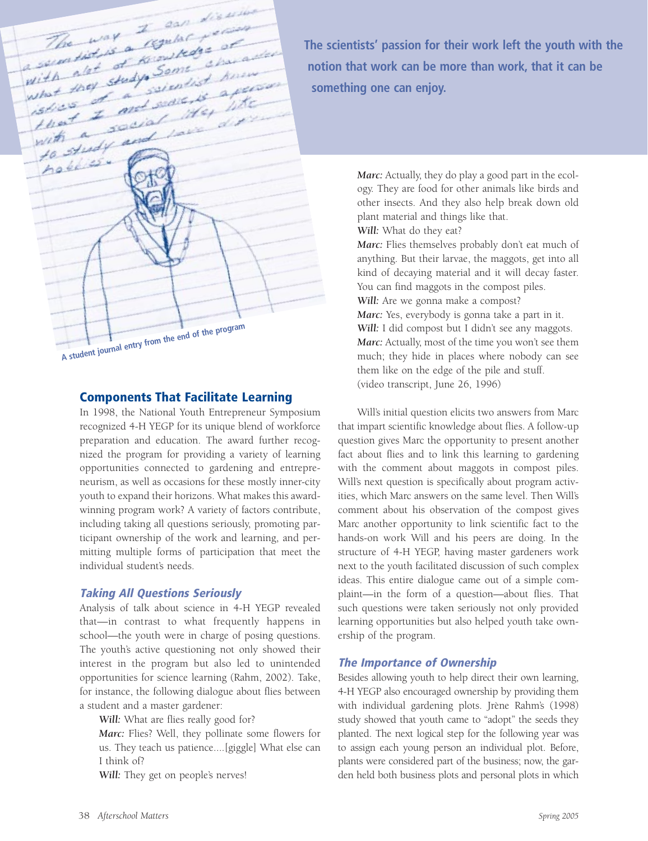The way I can discuss The way I could yet The way a regular + and<br>a square district of Knowledge at a second of Kingham with the study scientist<br>what they study scientist  $\frac{1}{100}$  and search 1 7 and security with a south with holdies **A student journal entry from the end of the program**

#### **Components That Facilitate Learning**

In 1998, the National Youth Entrepreneur Symposium recognized 4-H YEGP for its unique blend of workforce preparation and education. The award further recognized the program for providing a variety of learning opportunities connected to gardening and entrepreneurism, as well as occasions for these mostly inner-city youth to expand their horizons. What makes this awardwinning program work? A variety of factors contribute, including taking all questions seriously, promoting participant ownership of the work and learning, and permitting multiple forms of participation that meet the individual student's needs.

#### **Taking All Questions Seriously**

Analysis of talk about science in 4-H YEGP revealed that—in contrast to what frequently happens in school—the youth were in charge of posing questions. The youth's active questioning not only showed their interest in the program but also led to unintended opportunities for science learning (Rahm, 2002). Take, for instance, the following dialogue about flies between a student and a master gardener:

*Will:* What are flies really good for?

*Marc:* Flies? Well, they pollinate some flowers for us. They teach us patience....[giggle] What else can I think of?

*Will:* They get on people's nerves!

**The scientists' passion for their work left the youth with the notion that work can be more than work, that it can be something one can enjoy.**

> *Marc:* Actually, they do play a good part in the ecology. They are food for other animals like birds and other insects. And they also help break down old plant material and things like that. *Will:* What do they eat? *Marc:* Flies themselves probably don't eat much of anything. But their larvae, the maggots, get into all kind of decaying material and it will decay faster. You can find maggots in the compost piles. *Will:* Are we gonna make a compost? *Marc:* Yes, everybody is gonna take a part in it. Will: I did compost but I didn't see any maggots. *Marc:* Actually, most of the time you won't see them much; they hide in places where nobody can see them like on the edge of the pile and stuff. (video transcript, June 26, 1996)

Will's initial question elicits two answers from Marc that impart scientific knowledge about flies. A follow-up question gives Marc the opportunity to present another fact about flies and to link this learning to gardening with the comment about maggots in compost piles. Will's next question is specifically about program activities, which Marc answers on the same level. Then Will's comment about his observation of the compost gives Marc another opportunity to link scientific fact to the hands-on work Will and his peers are doing. In the structure of 4-H YEGP, having master gardeners work next to the youth facilitated discussion of such complex ideas. This entire dialogue came out of a simple complaint—in the form of a question—about flies. That such questions were taken seriously not only provided learning opportunities but also helped youth take ownership of the program.

#### **The Importance of Ownership**

Besides allowing youth to help direct their own learning, 4-H YEGP also encouraged ownership by providing them with individual gardening plots. Jrène Rahm's (1998) study showed that youth came to "adopt" the seeds they planted. The next logical step for the following year was to assign each young person an individual plot. Before, plants were considered part of the business; now, the garden held both business plots and personal plots in which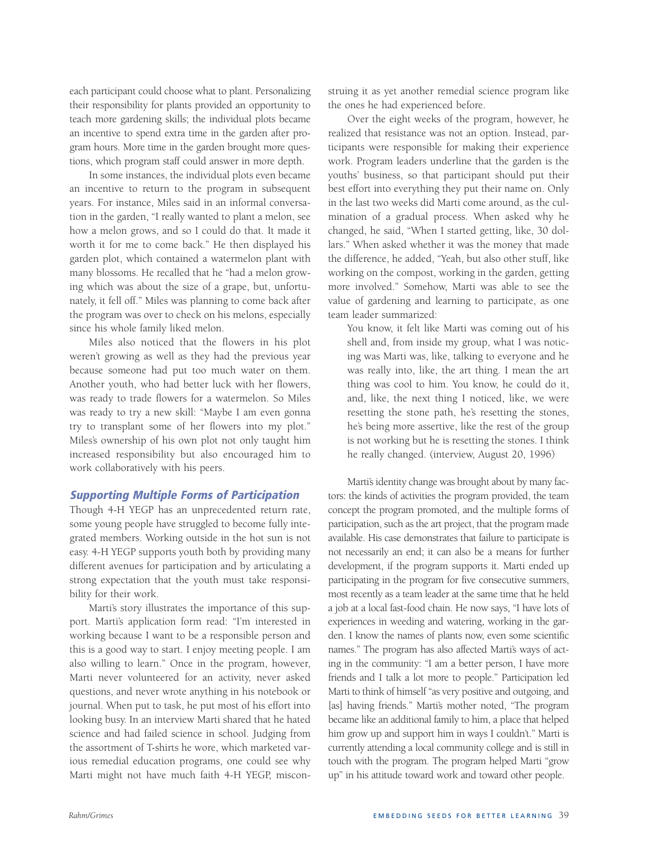each participant could choose what to plant. Personalizing their responsibility for plants provided an opportunity to teach more gardening skills; the individual plots became an incentive to spend extra time in the garden after program hours. More time in the garden brought more questions, which program staff could answer in more depth.

In some instances, the individual plots even became an incentive to return to the program in subsequent years. For instance, Miles said in an informal conversation in the garden, "I really wanted to plant a melon, see how a melon grows, and so I could do that. It made it worth it for me to come back." He then displayed his garden plot, which contained a watermelon plant with many blossoms. He recalled that he "had a melon growing which was about the size of a grape, but, unfortunately, it fell off." Miles was planning to come back after the program was over to check on his melons, especially since his whole family liked melon.

Miles also noticed that the flowers in his plot weren't growing as well as they had the previous year because someone had put too much water on them. Another youth, who had better luck with her flowers, was ready to trade flowers for a watermelon. So Miles was ready to try a new skill: "Maybe I am even gonna try to transplant some of her flowers into my plot." Miles's ownership of his own plot not only taught him increased responsibility but also encouraged him to work collaboratively with his peers.

#### **Supporting Multiple Forms of Participation**

Though 4-H YEGP has an unprecedented return rate, some young people have struggled to become fully integrated members. Working outside in the hot sun is not easy. 4-H YEGP supports youth both by providing many different avenues for participation and by articulating a strong expectation that the youth must take responsibility for their work.

Marti's story illustrates the importance of this support. Marti's application form read: "I'm interested in working because I want to be a responsible person and this is a good way to start. I enjoy meeting people. I am also willing to learn." Once in the program, however, Marti never volunteered for an activity, never asked questions, and never wrote anything in his notebook or journal. When put to task, he put most of his effort into looking busy. In an interview Marti shared that he hated science and had failed science in school. Judging from the assortment of T-shirts he wore, which marketed various remedial education programs, one could see why Marti might not have much faith 4-H YEGP, misconstruing it as yet another remedial science program like the ones he had experienced before.

Over the eight weeks of the program, however, he realized that resistance was not an option. Instead, participants were responsible for making their experience work. Program leaders underline that the garden is the youths' business, so that participant should put their best effort into everything they put their name on. Only in the last two weeks did Marti come around, as the culmination of a gradual process. When asked why he changed, he said, "When I started getting, like, 30 dollars." When asked whether it was the money that made the difference, he added, "Yeah, but also other stuff, like working on the compost, working in the garden, getting more involved." Somehow, Marti was able to see the value of gardening and learning to participate, as one team leader summarized:

You know, it felt like Marti was coming out of his shell and, from inside my group, what I was noticing was Marti was, like, talking to everyone and he was really into, like, the art thing. I mean the art thing was cool to him. You know, he could do it, and, like, the next thing I noticed, like, we were resetting the stone path, he's resetting the stones, he's being more assertive, like the rest of the group is not working but he is resetting the stones. I think he really changed. (interview, August 20, 1996)

Marti's identity change was brought about by many factors: the kinds of activities the program provided, the team concept the program promoted, and the multiple forms of participation, such as the art project, that the program made available. His case demonstrates that failure to participate is not necessarily an end; it can also be a means for further development, if the program supports it. Marti ended up participating in the program for five consecutive summers, most recently as a team leader at the same time that he held a job at a local fast-food chain. He now says, "I have lots of experiences in weeding and watering, working in the garden. I know the names of plants now, even some scientific names." The program has also affected Marti's ways of acting in the community: "I am a better person, I have more friends and I talk a lot more to people." Participation led Marti to think of himself "as very positive and outgoing, and [as] having friends." Marti's mother noted, "The program became like an additional family to him, a place that helped him grow up and support him in ways I couldn't." Marti is currently attending a local community college and is still in touch with the program. The program helped Marti "grow up" in his attitude toward work and toward other people.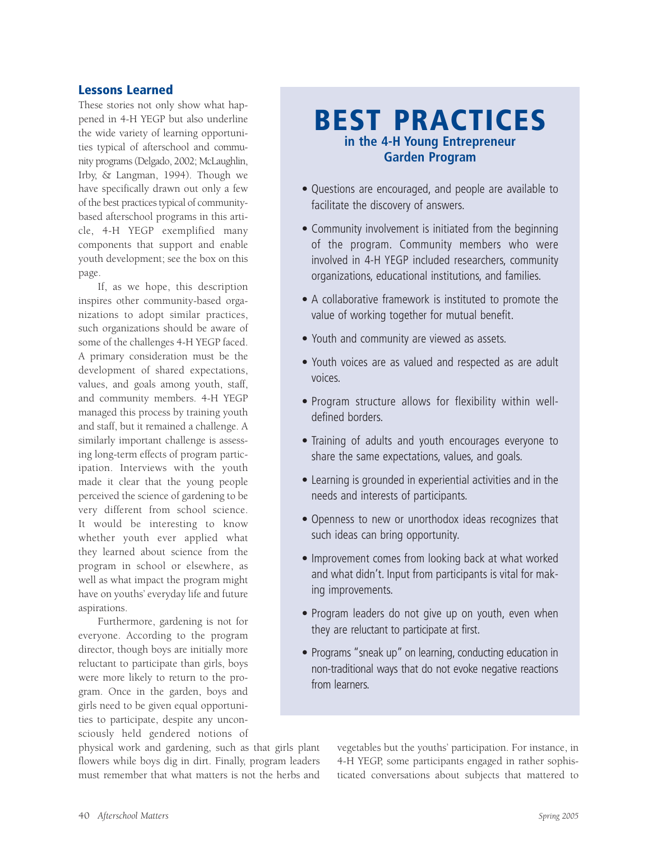## **Lessons Learned**

These stories not only show what happened in 4-H YEGP but also underline the wide variety of learning opportunities typical of afterschool and community programs (Delgado, 2002; McLaughlin, Irby, & Langman, 1994). Though we have specifically drawn out only a few of the best practices typical of communitybased afterschool programs in this article, 4-H YEGP exemplified many components that support and enable youth development; see the box on this page.

If, as we hope, this description inspires other community-based organizations to adopt similar practices, such organizations should be aware of some of the challenges 4-H YEGP faced. A primary consideration must be the development of shared expectations, values, and goals among youth, staff, and community members. 4-H YEGP managed this process by training youth and staff, but it remained a challenge. A similarly important challenge is assessing long-term effects of program participation. Interviews with the youth made it clear that the young people perceived the science of gardening to be very different from school science. It would be interesting to know whether youth ever applied what they learned about science from the program in school or elsewhere, as well as what impact the program might have on youths' everyday life and future aspirations.

Furthermore, gardening is not for everyone. According to the program director, though boys are initially more reluctant to participate than girls, boys were more likely to return to the program. Once in the garden, boys and girls need to be given equal opportunities to participate, despite any unconsciously held gendered notions of

physical work and gardening, such as that girls plant flowers while boys dig in dirt. Finally, program leaders must remember that what matters is not the herbs and

# **BEST PRACTICES in the 4-H Young Entrepreneur Garden Program**

- Questions are encouraged, and people are available to facilitate the discovery of answers.
- Community involvement is initiated from the beginning of the program. Community members who were involved in 4-H YEGP included researchers, community organizations, educational institutions, and families.
- A collaborative framework is instituted to promote the value of working together for mutual benefit.
- Youth and community are viewed as assets.
- Youth voices are as valued and respected as are adult voices.
- Program structure allows for flexibility within welldefined borders.
- Training of adults and youth encourages everyone to share the same expectations, values, and goals.
- Learning is grounded in experiential activities and in the needs and interests of participants.
- Openness to new or unorthodox ideas recognizes that such ideas can bring opportunity.
- Improvement comes from looking back at what worked and what didn't. Input from participants is vital for making improvements.
- Program leaders do not give up on youth, even when they are reluctant to participate at first.
- Programs "sneak up" on learning, conducting education in non-traditional ways that do not evoke negative reactions from learners.

vegetables but the youths' participation. For instance, in 4-H YEGP, some participants engaged in rather sophisticated conversations about subjects that mattered to